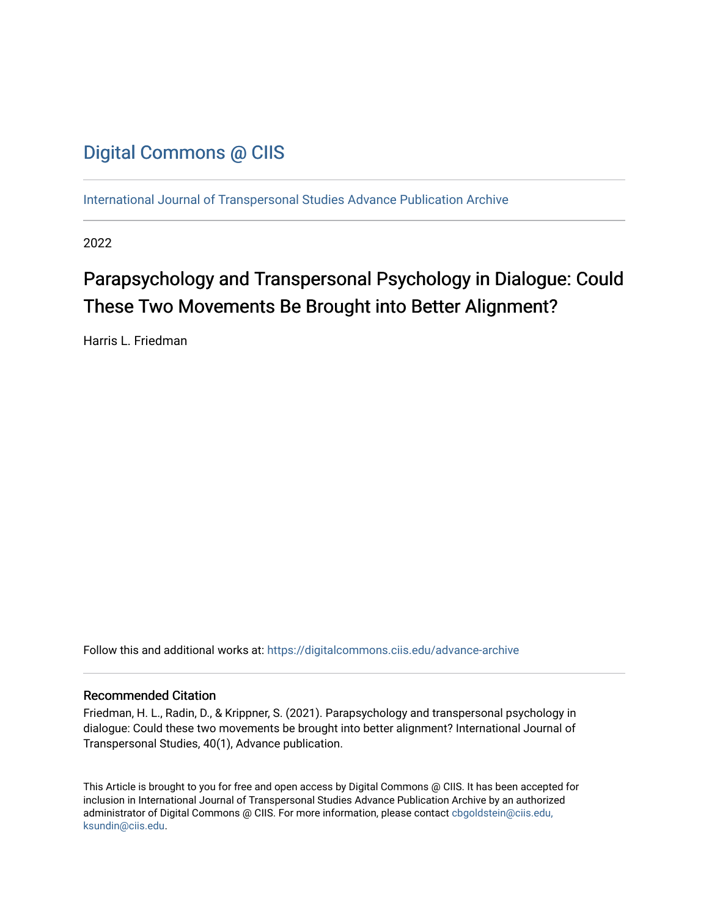## [Digital Commons @ CIIS](https://digitalcommons.ciis.edu/)

[International Journal of Transpersonal Studies Advance Publication Archive](https://digitalcommons.ciis.edu/advance-archive)

2022

# Parapsychology and Transpersonal Psychology in Dialogue: Could These Two Movements Be Brought into Better Alignment?

Harris L. Friedman

Follow this and additional works at: [https://digitalcommons.ciis.edu/advance-archive](https://digitalcommons.ciis.edu/advance-archive?utm_source=digitalcommons.ciis.edu%2Fadvance-archive%2F39&utm_medium=PDF&utm_campaign=PDFCoverPages)

#### Recommended Citation

Friedman, H. L., Radin, D., & Krippner, S. (2021). Parapsychology and transpersonal psychology in dialogue: Could these two movements be brought into better alignment? International Journal of Transpersonal Studies, 40(1), Advance publication.

This Article is brought to you for free and open access by Digital Commons @ CIIS. It has been accepted for inclusion in International Journal of Transpersonal Studies Advance Publication Archive by an authorized administrator of Digital Commons @ CIIS. For more information, please contact [cbgoldstein@ciis.edu,](mailto:cbgoldstein@ciis.edu,%20ksundin@ciis.edu)  [ksundin@ciis.edu](mailto:cbgoldstein@ciis.edu,%20ksundin@ciis.edu).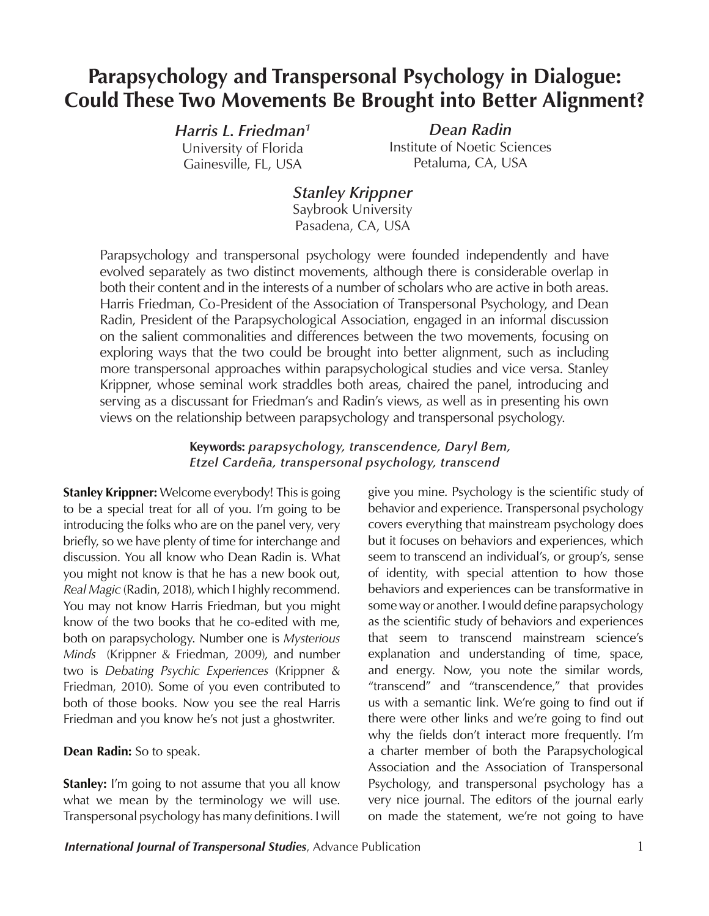# **Parapsychology and Transpersonal Psychology in Dialogue: Could These Two Movements Be Brought into Better Alignment?**

*Harris L. Friedman1* University of Florida Gainesville, FL, USA

*Dean Radin* Institute of Noetic Sciences Petaluma, CA, USA

### *Stanley Krippner* Saybrook University

Pasadena, CA, USA

Parapsychology and transpersonal psychology were founded independently and have evolved separately as two distinct movements, although there is considerable overlap in both their content and in the interests of a number of scholars who are active in both areas. Harris Friedman, Co-President of the Association of Transpersonal Psychology, and Dean Radin, President of the Parapsychological Association, engaged in an informal discussion on the salient commonalities and differences between the two movements, focusing on exploring ways that the two could be brought into better alignment, such as including more transpersonal approaches within parapsychological studies and vice versa. Stanley Krippner, whose seminal work straddles both areas, chaired the panel, introducing and serving as a discussant for Friedman's and Radin's views, as well as in presenting his own views on the relationship between parapsychology and transpersonal psychology.

#### **Keywords:** *parapsychology, transcendence, Daryl Bem, Etzel Cardeña, transpersonal psychology, transcend*

**Stanley Krippner:** Welcome everybody! This is going to be a special treat for all of you. I'm going to be introducing the folks who are on the panel very, very briefly, so we have plenty of time for interchange and discussion. You all know who Dean Radin is. What you might not know is that he has a new book out, *Real Magic* (Radin, 2018), which I highly recommend. You may not know Harris Friedman, but you might know of the two books that he co-edited with me, both on parapsychology. Number one is *Mysterious Minds* (Krippner & Friedman, 2009), and number two is *Debating Psychic Experiences* (Krippner & Friedman, 2010). Some of you even contributed to both of those books. Now you see the real Harris Friedman and you know he's not just a ghostwriter.

**Dean Radin:** So to speak.

**Stanley:** I'm going to not assume that you all know what we mean by the terminology we will use. Transpersonal psychology has many definitions. I will

give you mine. Psychology is the scientific study of behavior and experience. Transpersonal psychology covers everything that mainstream psychology does but it focuses on behaviors and experiences, which seem to transcend an individual's, or group's, sense of identity, with special attention to how those behaviors and experiences can be transformative in some way or another. I would define parapsychology as the scientific study of behaviors and experiences that seem to transcend mainstream science's explanation and understanding of time, space, and energy. Now, you note the similar words, "transcend" and "transcendence," that provides us with a semantic link. We're going to find out if there were other links and we're going to find out why the fields don't interact more frequently. I'm a charter member of both the Parapsychological Association and the Association of Transpersonal Psychology, and transpersonal psychology has a very nice journal. The editors of the journal early on made the statement, we're not going to have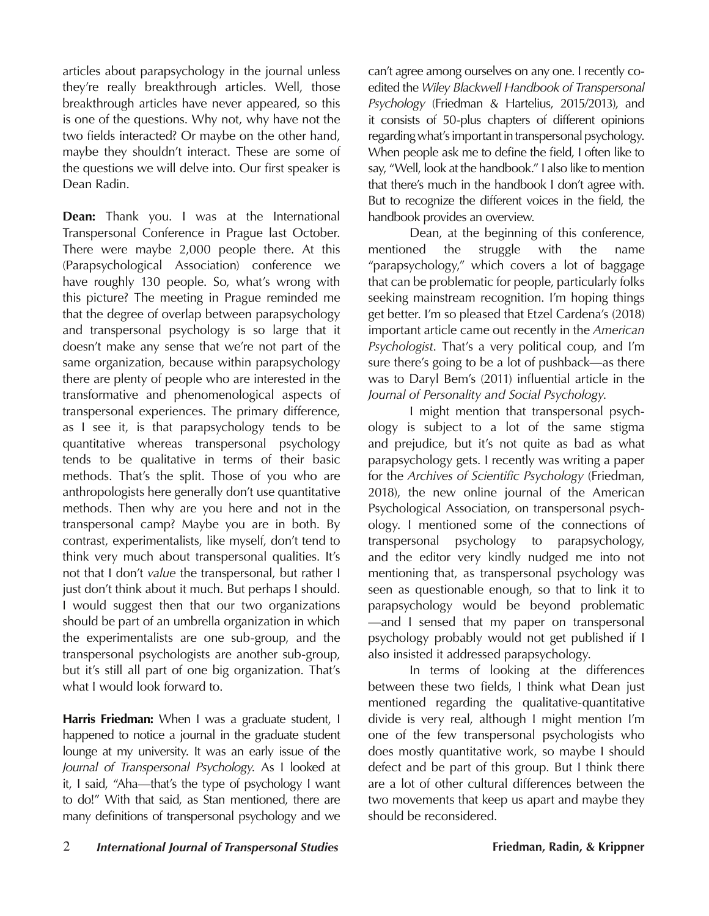articles about parapsychology in the journal unless they're really breakthrough articles. Well, those breakthrough articles have never appeared, so this is one of the questions. Why not, why have not the two fields interacted? Or maybe on the other hand, maybe they shouldn't interact. These are some of the questions we will delve into. Our first speaker is Dean Radin.

**Dean:** Thank you. I was at the International Transpersonal Conference in Prague last October. There were maybe 2,000 people there. At this (Parapsychological Association) conference we have roughly 130 people. So, what's wrong with this picture? The meeting in Prague reminded me that the degree of overlap between parapsychology and transpersonal psychology is so large that it doesn't make any sense that we're not part of the same organization, because within parapsychology there are plenty of people who are interested in the transformative and phenomenological aspects of transpersonal experiences. The primary difference, as I see it, is that parapsychology tends to be quantitative whereas transpersonal psychology tends to be qualitative in terms of their basic methods. That's the split. Those of you who are anthropologists here generally don't use quantitative methods. Then why are you here and not in the transpersonal camp? Maybe you are in both. By contrast, experimentalists, like myself, don't tend to think very much about transpersonal qualities. It's not that I don't *value* the transpersonal, but rather I just don't think about it much. But perhaps I should. I would suggest then that our two organizations should be part of an umbrella organization in which the experimentalists are one sub-group, and the transpersonal psychologists are another sub-group, but it's still all part of one big organization. That's what I would look forward to.

**Harris Friedman:** When I was a graduate student, I happened to notice a journal in the graduate student lounge at my university. It was an early issue of the *Journal of Transpersonal Psychology*. As I looked at it, I said, "Aha—that's the type of psychology I want to do!" With that said, as Stan mentioned, there are many definitions of transpersonal psychology and we

can't agree among ourselves on any one. I recently coedited the *Wiley Blackwell Handbook of Transpersonal Psychology* (Friedman & Hartelius, 2015/2013), and it consists of 50-plus chapters of different opinions regarding what's important in transpersonal psychology. When people ask me to define the field, I often like to say, "Well, look at the handbook." I also like to mention that there's much in the handbook I don't agree with. But to recognize the different voices in the field, the handbook provides an overview.

Dean, at the beginning of this conference, mentioned the struggle with the name "parapsychology," which covers a lot of baggage that can be problematic for people, particularly folks seeking mainstream recognition. I'm hoping things get better. I'm so pleased that Etzel Cardena's (2018) important article came out recently in the *American Psychologist*. That's a very political coup, and I'm sure there's going to be a lot of pushback—as there was to Daryl Bem's (2011) influential article in the *Journal of Personality and Social Psychology*.

I might mention that transpersonal psychology is subject to a lot of the same stigma and prejudice, but it's not quite as bad as what parapsychology gets. I recently was writing a paper for the *Archives of Scientific Psychology* (Friedman, 2018), the new online journal of the American Psychological Association, on transpersonal psychology. I mentioned some of the connections of transpersonal psychology to parapsychology, and the editor very kindly nudged me into not mentioning that, as transpersonal psychology was seen as questionable enough, so that to link it to parapsychology would be beyond problematic —and I sensed that my paper on transpersonal psychology probably would not get published if I also insisted it addressed parapsychology.

In terms of looking at the differences between these two fields, I think what Dean just mentioned regarding the qualitative-quantitative divide is very real, although I might mention I'm one of the few transpersonal psychologists who does mostly quantitative work, so maybe I should defect and be part of this group. But I think there are a lot of other cultural differences between the two movements that keep us apart and maybe they should be reconsidered.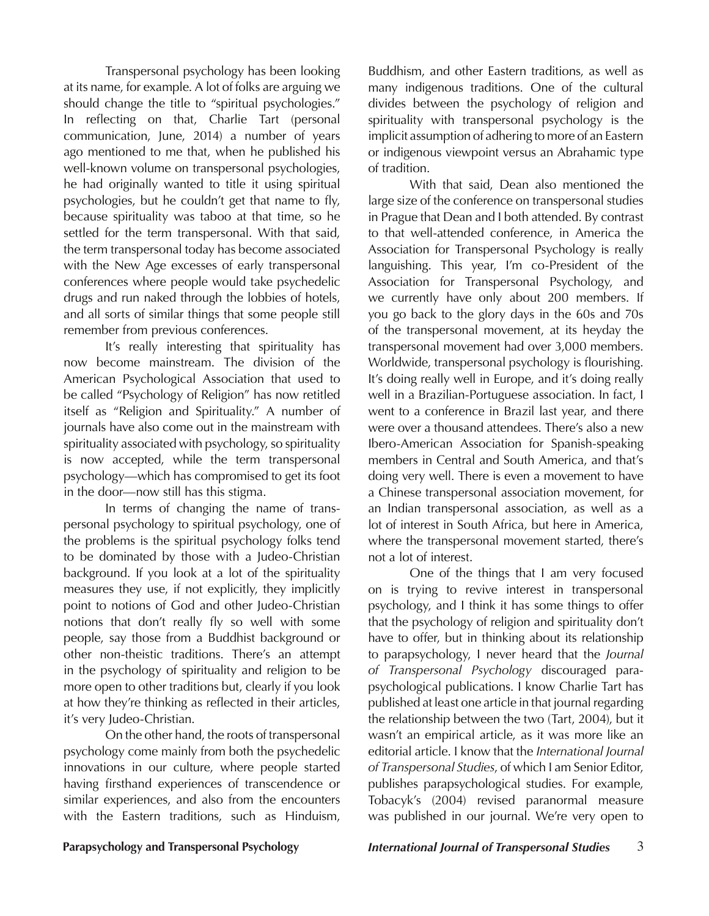Transpersonal psychology has been looking at its name, for example. A lot of folks are arguing we should change the title to "spiritual psychologies." In reflecting on that, Charlie Tart (personal communication, June, 2014) a number of years ago mentioned to me that, when he published his well-known volume on transpersonal psychologies, he had originally wanted to title it using spiritual psychologies, but he couldn't get that name to fly, because spirituality was taboo at that time, so he settled for the term transpersonal. With that said, the term transpersonal today has become associated with the New Age excesses of early transpersonal conferences where people would take psychedelic drugs and run naked through the lobbies of hotels, and all sorts of similar things that some people still remember from previous conferences.

It's really interesting that spirituality has now become mainstream. The division of the American Psychological Association that used to be called "Psychology of Religion" has now retitled itself as "Religion and Spirituality." A number of journals have also come out in the mainstream with spirituality associated with psychology, so spirituality is now accepted, while the term transpersonal psychology—which has compromised to get its foot in the door—now still has this stigma.

In terms of changing the name of transpersonal psychology to spiritual psychology, one of the problems is the spiritual psychology folks tend to be dominated by those with a Judeo-Christian background. If you look at a lot of the spirituality measures they use, if not explicitly, they implicitly point to notions of God and other Judeo-Christian notions that don't really fly so well with some people, say those from a Buddhist background or other non-theistic traditions. There's an attempt in the psychology of spirituality and religion to be more open to other traditions but, clearly if you look at how they're thinking as reflected in their articles, it's very Judeo-Christian.

On the other hand, the roots of transpersonal psychology come mainly from both the psychedelic innovations in our culture, where people started having firsthand experiences of transcendence or similar experiences, and also from the encounters with the Eastern traditions, such as Hinduism,

Buddhism, and other Eastern traditions, as well as many indigenous traditions. One of the cultural divides between the psychology of religion and spirituality with transpersonal psychology is the implicit assumption of adhering to more of an Eastern or indigenous viewpoint versus an Abrahamic type of tradition.

With that said, Dean also mentioned the large size of the conference on transpersonal studies in Prague that Dean and I both attended. By contrast to that well-attended conference, in America the Association for Transpersonal Psychology is really languishing. This year, I'm co-President of the Association for Transpersonal Psychology, and we currently have only about 200 members. If you go back to the glory days in the 60s and 70s of the transpersonal movement, at its heyday the transpersonal movement had over 3,000 members. Worldwide, transpersonal psychology is flourishing. It's doing really well in Europe, and it's doing really well in a Brazilian-Portuguese association. In fact, I went to a conference in Brazil last year, and there were over a thousand attendees. There's also a new Ibero-American Association for Spanish-speaking members in Central and South America, and that's doing very well. There is even a movement to have a Chinese transpersonal association movement, for an Indian transpersonal association, as well as a lot of interest in South Africa, but here in America, where the transpersonal movement started, there's not a lot of interest.

One of the things that I am very focused on is trying to revive interest in transpersonal psychology, and I think it has some things to offer that the psychology of religion and spirituality don't have to offer, but in thinking about its relationship to parapsychology, I never heard that the *Journal of Transpersonal Psychology* discouraged parapsychological publications. I know Charlie Tart has published at least one article in that journal regarding the relationship between the two (Tart, 2004), but it wasn't an empirical article, as it was more like an editorial article. I know that the *International Journal of Transpersonal Studies*, of which I am Senior Editor, publishes parapsychological studies. For example, Tobacyk's (2004) revised paranormal measure was published in our journal. We're very open to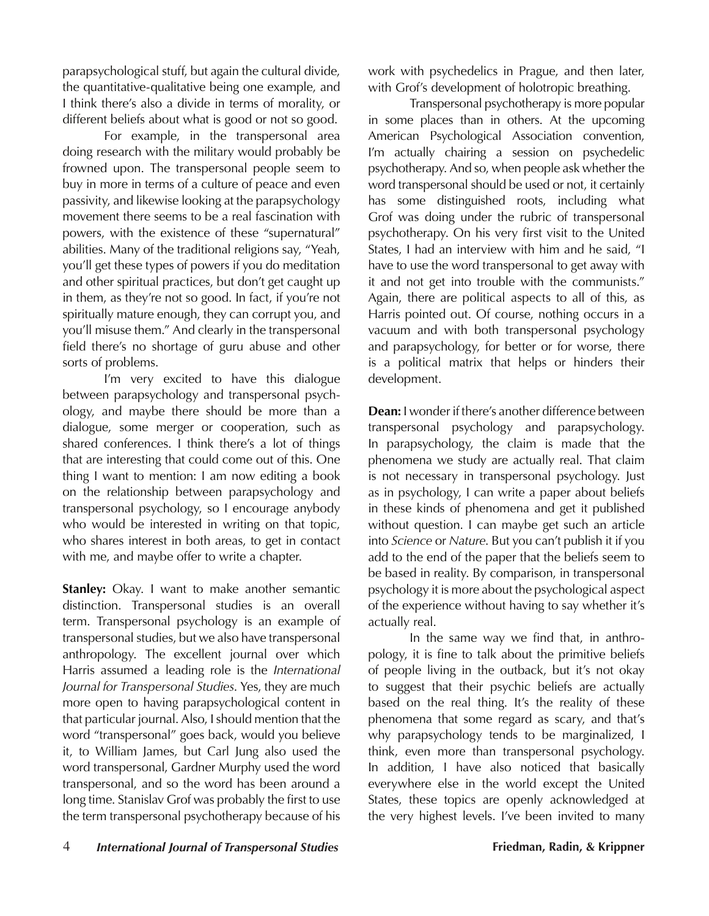parapsychological stuff, but again the cultural divide, the quantitative-qualitative being one example, and I think there's also a divide in terms of morality, or different beliefs about what is good or not so good.

For example, in the transpersonal area doing research with the military would probably be frowned upon. The transpersonal people seem to buy in more in terms of a culture of peace and even passivity, and likewise looking at the parapsychology movement there seems to be a real fascination with powers, with the existence of these "supernatural" abilities. Many of the traditional religions say, "Yeah, you'll get these types of powers if you do meditation and other spiritual practices, but don't get caught up in them, as they're not so good. In fact, if you're not spiritually mature enough, they can corrupt you, and you'll misuse them." And clearly in the transpersonal field there's no shortage of guru abuse and other sorts of problems.

I'm very excited to have this dialogue between parapsychology and transpersonal psychology, and maybe there should be more than a dialogue, some merger or cooperation, such as shared conferences. I think there's a lot of things that are interesting that could come out of this. One thing I want to mention: I am now editing a book on the relationship between parapsychology and transpersonal psychology, so I encourage anybody who would be interested in writing on that topic, who shares interest in both areas, to get in contact with me, and maybe offer to write a chapter.

**Stanley:** Okay. I want to make another semantic distinction. Transpersonal studies is an overall term. Transpersonal psychology is an example of transpersonal studies, but we also have transpersonal anthropology. The excellent journal over which Harris assumed a leading role is the *International Journal for Transpersonal Studies*. Yes, they are much more open to having parapsychological content in that particular journal. Also, I should mention that the word "transpersonal" goes back, would you believe it, to William James, but Carl Jung also used the word transpersonal, Gardner Murphy used the word transpersonal, and so the word has been around a long time. Stanislav Grof was probably the first to use the term transpersonal psychotherapy because of his

work with psychedelics in Prague, and then later, with Grof's development of holotropic breathing.

Transpersonal psychotherapy is more popular in some places than in others. At the upcoming American Psychological Association convention, I'm actually chairing a session on psychedelic psychotherapy. And so, when people ask whether the word transpersonal should be used or not, it certainly has some distinguished roots, including what Grof was doing under the rubric of transpersonal psychotherapy. On his very first visit to the United States, I had an interview with him and he said, "I have to use the word transpersonal to get away with it and not get into trouble with the communists." Again, there are political aspects to all of this, as Harris pointed out. Of course, nothing occurs in a vacuum and with both transpersonal psychology and parapsychology, for better or for worse, there is a political matrix that helps or hinders their development.

**Dean:** I wonder if there's another difference between transpersonal psychology and parapsychology. In parapsychology, the claim is made that the phenomena we study are actually real. That claim is not necessary in transpersonal psychology. Just as in psychology, I can write a paper about beliefs in these kinds of phenomena and get it published without question. I can maybe get such an article into *Science* or *Nature*. But you can't publish it if you add to the end of the paper that the beliefs seem to be based in reality. By comparison, in transpersonal psychology it is more about the psychological aspect of the experience without having to say whether it's actually real.

In the same way we find that, in anthropology, it is fine to talk about the primitive beliefs of people living in the outback, but it's not okay to suggest that their psychic beliefs are actually based on the real thing. It's the reality of these phenomena that some regard as scary, and that's why parapsychology tends to be marginalized, I think, even more than transpersonal psychology. In addition, I have also noticed that basically everywhere else in the world except the United States, these topics are openly acknowledged at the very highest levels. I've been invited to many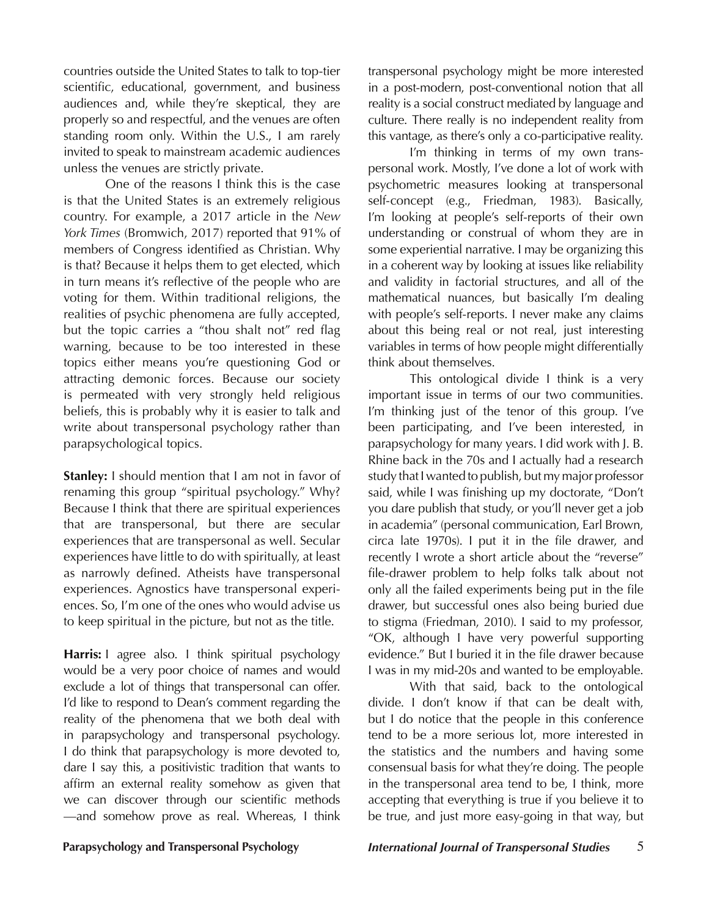countries outside the United States to talk to top-tier scientific, educational, government, and business audiences and, while they're skeptical, they are properly so and respectful, and the venues are often standing room only. Within the U.S., I am rarely invited to speak to mainstream academic audiences unless the venues are strictly private.

One of the reasons I think this is the case is that the United States is an extremely religious country. For example, a 2017 article in the *New York Times* (Bromwich, 2017) reported that 91% of members of Congress identified as Christian. Why is that? Because it helps them to get elected, which in turn means it's reflective of the people who are voting for them. Within traditional religions, the realities of psychic phenomena are fully accepted, but the topic carries a "thou shalt not" red flag warning, because to be too interested in these topics either means you're questioning God or attracting demonic forces. Because our society is permeated with very strongly held religious beliefs, this is probably why it is easier to talk and write about transpersonal psychology rather than parapsychological topics.

**Stanley:** I should mention that I am not in favor of renaming this group "spiritual psychology." Why? Because I think that there are spiritual experiences that are transpersonal, but there are secular experiences that are transpersonal as well. Secular experiences have little to do with spiritually, at least as narrowly defined. Atheists have transpersonal experiences. Agnostics have transpersonal experiences. So, I'm one of the ones who would advise us to keep spiritual in the picture, but not as the title.

**Harris:** I agree also. I think spiritual psychology would be a very poor choice of names and would exclude a lot of things that transpersonal can offer. I'd like to respond to Dean's comment regarding the reality of the phenomena that we both deal with in parapsychology and transpersonal psychology. I do think that parapsychology is more devoted to, dare I say this, a positivistic tradition that wants to affirm an external reality somehow as given that we can discover through our scientific methods —and somehow prove as real. Whereas, I think transpersonal psychology might be more interested in a post-modern, post-conventional notion that all reality is a social construct mediated by language and culture. There really is no independent reality from this vantage, as there's only a co-participative reality.

I'm thinking in terms of my own transpersonal work. Mostly, I've done a lot of work with psychometric measures looking at transpersonal self-concept (e.g., Friedman, 1983). Basically, I'm looking at people's self-reports of their own understanding or construal of whom they are in some experiential narrative. I may be organizing this in a coherent way by looking at issues like reliability and validity in factorial structures, and all of the mathematical nuances, but basically I'm dealing with people's self-reports. I never make any claims about this being real or not real, just interesting variables in terms of how people might differentially think about themselves.

This ontological divide I think is a very important issue in terms of our two communities. I'm thinking just of the tenor of this group. I've been participating, and I've been interested, in parapsychology for many years. I did work with J. B. Rhine back in the 70s and I actually had a research study that I wanted to publish, but my major professor said, while I was finishing up my doctorate, "Don't you dare publish that study, or you'll never get a job in academia" (personal communication, Earl Brown, circa late 1970s). I put it in the file drawer, and recently I wrote a short article about the "reverse" file-drawer problem to help folks talk about not only all the failed experiments being put in the file drawer, but successful ones also being buried due to stigma (Friedman, 2010). I said to my professor, "OK, although I have very powerful supporting evidence." But I buried it in the file drawer because I was in my mid-20s and wanted to be employable.

With that said, back to the ontological divide. I don't know if that can be dealt with, but I do notice that the people in this conference tend to be a more serious lot, more interested in the statistics and the numbers and having some consensual basis for what they're doing. The people in the transpersonal area tend to be, I think, more accepting that everything is true if you believe it to be true, and just more easy-going in that way, but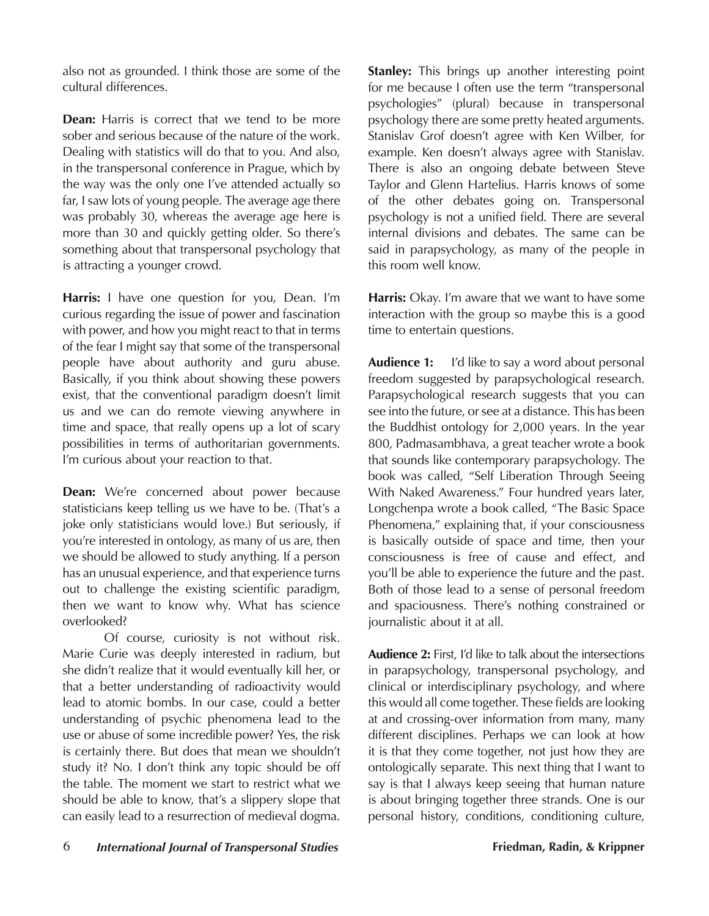also not as grounded. I think those are some of the cultural differences.

**Dean:** Harris is correct that we tend to be more sober and serious because of the nature of the work. Dealing with statistics will do that to you. And also, in the transpersonal conference in Prague, which by the way was the only one I've attended actually so far, I saw lots of young people. The average age there was probably 30, whereas the average age here is more than 30 and quickly getting older. So there's something about that transpersonal psychology that is attracting a younger crowd.

**Harris:** I have one question for you, Dean. I'm curious regarding the issue of power and fascination with power, and how you might react to that in terms of the fear I might say that some of the transpersonal people have about authority and guru abuse. Basically, if you think about showing these powers exist, that the conventional paradigm doesn't limit us and we can do remote viewing anywhere in time and space, that really opens up a lot of scary possibilities in terms of authoritarian governments. I'm curious about your reaction to that.

**Dean:** We're concerned about power because statisticians keep telling us we have to be. (That's a joke only statisticians would love.) But seriously, if you're interested in ontology, as many of us are, then we should be allowed to study anything. If a person has an unusual experience, and that experience turns out to challenge the existing scientific paradigm, then we want to know why. What has science overlooked?

Of course, curiosity is not without risk. Marie Curie was deeply interested in radium, but she didn't realize that it would eventually kill her, or that a better understanding of radioactivity would lead to atomic bombs. In our case, could a better understanding of psychic phenomena lead to the use or abuse of some incredible power? Yes, the risk is certainly there. But does that mean we shouldn't study it? No. I don't think any topic should be off the table. The moment we start to restrict what we should be able to know, that's a slippery slope that can easily lead to a resurrection of medieval dogma.

**Stanley:** This brings up another interesting point for me because I often use the term "transpersonal psychologies" (plural) because in transpersonal psychology there are some pretty heated arguments. Stanislav Grof doesn't agree with Ken Wilber, for example. Ken doesn't always agree with Stanislav. There is also an ongoing debate between Steve Taylor and Glenn Hartelius. Harris knows of some of the other debates going on. Transpersonal psychology is not a unified field. There are several internal divisions and debates. The same can be said in parapsychology, as many of the people in this room well know.

**Harris:** Okay. I'm aware that we want to have some interaction with the group so maybe this is a good time to entertain questions.

**Audience 1:** I'd like to say a word about personal freedom suggested by parapsychological research. Parapsychological research suggests that you can see into the future, or see at a distance. This has been the Buddhist ontology for 2,000 years. In the year 800, Padmasambhava, a great teacher wrote a book that sounds like contemporary parapsychology. The book was called, "Self Liberation Through Seeing With Naked Awareness." Four hundred years later, Longchenpa wrote a book called, "The Basic Space Phenomena," explaining that, if your consciousness is basically outside of space and time, then your consciousness is free of cause and effect, and you'll be able to experience the future and the past. Both of those lead to a sense of personal freedom and spaciousness. There's nothing constrained or journalistic about it at all.

**Audience 2:** First, I'd like to talk about the intersections in parapsychology, transpersonal psychology, and clinical or interdisciplinary psychology, and where this would all come together. These fields are looking at and crossing-over information from many, many different disciplines. Perhaps we can look at how it is that they come together, not just how they are ontologically separate. This next thing that I want to say is that I always keep seeing that human nature is about bringing together three strands. One is our personal history, conditions, conditioning culture,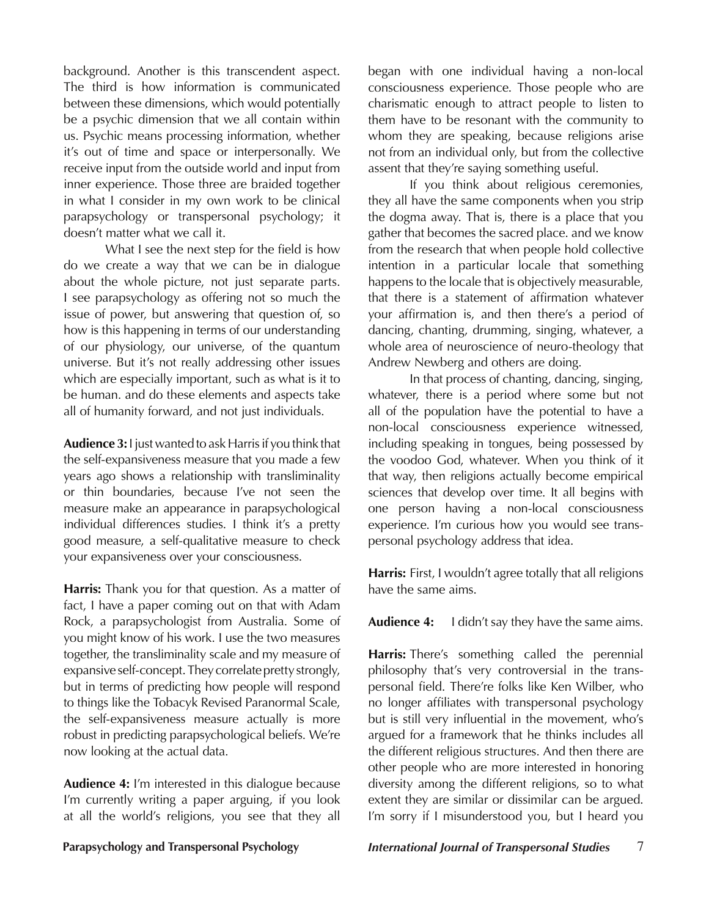background. Another is this transcendent aspect. The third is how information is communicated between these dimensions, which would potentially be a psychic dimension that we all contain within us. Psychic means processing information, whether it's out of time and space or interpersonally. We receive input from the outside world and input from inner experience. Those three are braided together in what I consider in my own work to be clinical parapsychology or transpersonal psychology; it doesn't matter what we call it.

What I see the next step for the field is how do we create a way that we can be in dialogue about the whole picture, not just separate parts. I see parapsychology as offering not so much the issue of power, but answering that question of, so how is this happening in terms of our understanding of our physiology, our universe, of the quantum universe. But it's not really addressing other issues which are especially important, such as what is it to be human. and do these elements and aspects take all of humanity forward, and not just individuals.

**Audience 3:** I just wanted to ask Harris if you think that the self-expansiveness measure that you made a few years ago shows a relationship with transliminality or thin boundaries, because I've not seen the measure make an appearance in parapsychological individual differences studies. I think it's a pretty good measure, a self-qualitative measure to check your expansiveness over your consciousness.

**Harris:** Thank you for that question. As a matter of fact, I have a paper coming out on that with Adam Rock, a parapsychologist from Australia. Some of you might know of his work. I use the two measures together, the transliminality scale and my measure of expansive self-concept. They correlate pretty strongly, but in terms of predicting how people will respond to things like the Tobacyk Revised Paranormal Scale, the self-expansiveness measure actually is more robust in predicting parapsychological beliefs. We're now looking at the actual data.

**Audience 4:** I'm interested in this dialogue because I'm currently writing a paper arguing, if you look at all the world's religions, you see that they all

began with one individual having a non-local consciousness experience. Those people who are charismatic enough to attract people to listen to them have to be resonant with the community to whom they are speaking, because religions arise not from an individual only, but from the collective assent that they're saying something useful.

If you think about religious ceremonies, they all have the same components when you strip the dogma away. That is, there is a place that you gather that becomes the sacred place. and we know from the research that when people hold collective intention in a particular locale that something happens to the locale that is objectively measurable, that there is a statement of affirmation whatever your affirmation is, and then there's a period of dancing, chanting, drumming, singing, whatever, a whole area of neuroscience of neuro-theology that Andrew Newberg and others are doing.

In that process of chanting, dancing, singing, whatever, there is a period where some but not all of the population have the potential to have a non-local consciousness experience witnessed, including speaking in tongues, being possessed by the voodoo God, whatever. When you think of it that way, then religions actually become empirical sciences that develop over time. It all begins with one person having a non-local consciousness experience. I'm curious how you would see transpersonal psychology address that idea.

**Harris:** First, I wouldn't agree totally that all religions have the same aims.

**Audience 4:** I didn't say they have the same aims.

**Harris:** There's something called the perennial philosophy that's very controversial in the transpersonal field. There're folks like Ken Wilber, who no longer affiliates with transpersonal psychology but is still very influential in the movement, who's argued for a framework that he thinks includes all the different religious structures. And then there are other people who are more interested in honoring diversity among the different religions, so to what extent they are similar or dissimilar can be argued. I'm sorry if I misunderstood you, but I heard you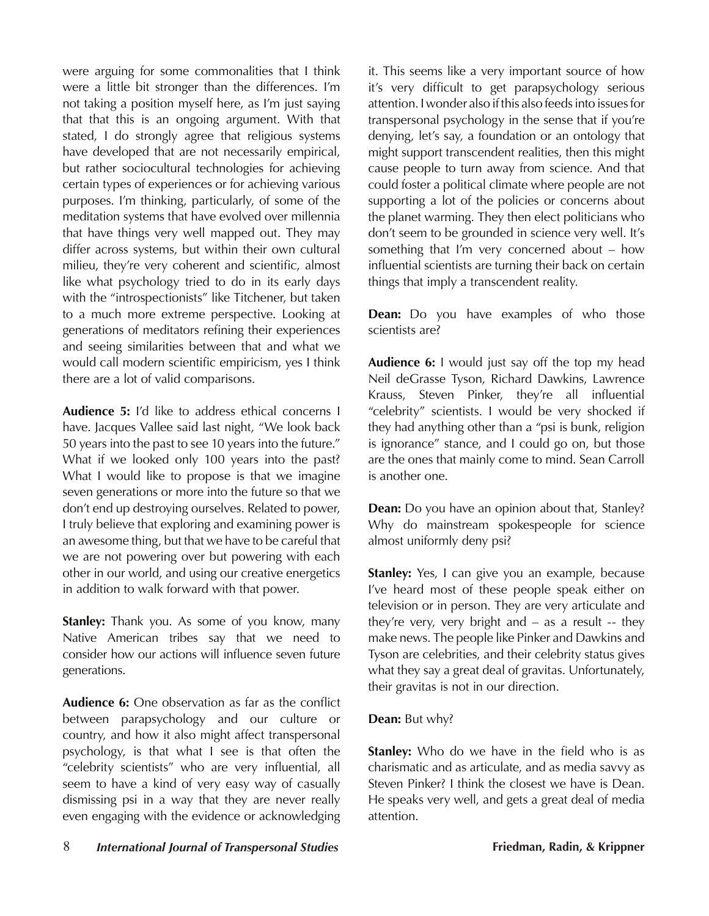were arguing for some commonalities that I think were a little bit stronger than the differences. I'm not taking a position myself here, as I'm just saying that that this is an ongoing argument. With that stated, I do strongly agree that religious systems have developed that are not necessarily empirical, but rather sociocultural technologies for achieving certain types of experiences or for achieving various purposes. I'm thinking, particularly, of some of the meditation systems that have evolved over millennia that have things very well mapped out. They may differ across systems, but within their own cultural milieu, they're very coherent and scientific, almost like what psychology tried to do in its early days with the "introspectionists" like Titchener, but taken to a much more extreme perspective. Looking at generations of meditators refining their experiences and seeing similarities between that and what we would call modern scientific empiricism, yes I think there are a lot of valid comparisons.

**Audience 5:** I'd like to address ethical concerns I have. Jacques Vallee said last night, "We look back 50 years into the past to see 10 years into the future." What if we looked only 100 years into the past? What I would like to propose is that we imagine seven generations or more into the future so that we don't end up destroying ourselves. Related to power, I truly believe that exploring and examining power is an awesome thing, but that we have to be careful that we are not powering over but powering with each other in our world, and using our creative energetics in addition to walk forward with that power.

**Stanley:** Thank you. As some of you know, many Native American tribes say that we need to consider how our actions will influence seven future generations.

**Audience 6:** One observation as far as the conflict between parapsychology and our culture or country, and how it also might affect transpersonal psychology, is that what I see is that often the "celebrity scientists" who are very influential, all seem to have a kind of very easy way of casually dismissing psi in a way that they are never really even engaging with the evidence or acknowledging

it. This seems like a very important source of how it's very difficult to get parapsychology serious attention. I wonder also if this also feeds into issues for transpersonal psychology in the sense that if you're denying, let's say, a foundation or an ontology that might support transcendent realities, then this might cause people to turn away from science. And that could foster a political climate where people are not supporting a lot of the policies or concerns about the planet warming. They then elect politicians who don't seem to be grounded in science very well. It's something that I'm very concerned about – how influential scientists are turning their back on certain things that imply a transcendent reality.

**Dean:** Do you have examples of who those scientists are?

**Audience 6:** I would just say off the top my head Neil deGrasse Tyson, Richard Dawkins, Lawrence Krauss, Steven Pinker, they're all influential "celebrity" scientists. I would be very shocked if they had anything other than a "psi is bunk, religion is ignorance" stance, and I could go on, but those are the ones that mainly come to mind. Sean Carroll is another one.

**Dean:** Do you have an opinion about that, Stanley? Why do mainstream spokespeople for science almost uniformly deny psi?

**Stanley:** Yes, I can give you an example, because I've heard most of these people speak either on television or in person. They are very articulate and they're very, very bright and – as a result -- they make news. The people like Pinker and Dawkins and Tyson are celebrities, and their celebrity status gives what they say a great deal of gravitas. Unfortunately, their gravitas is not in our direction.

### **Dean:** But why?

**Stanley:** Who do we have in the field who is as charismatic and as articulate, and as media savvy as Steven Pinker? I think the closest we have is Dean. He speaks very well, and gets a great deal of media attention.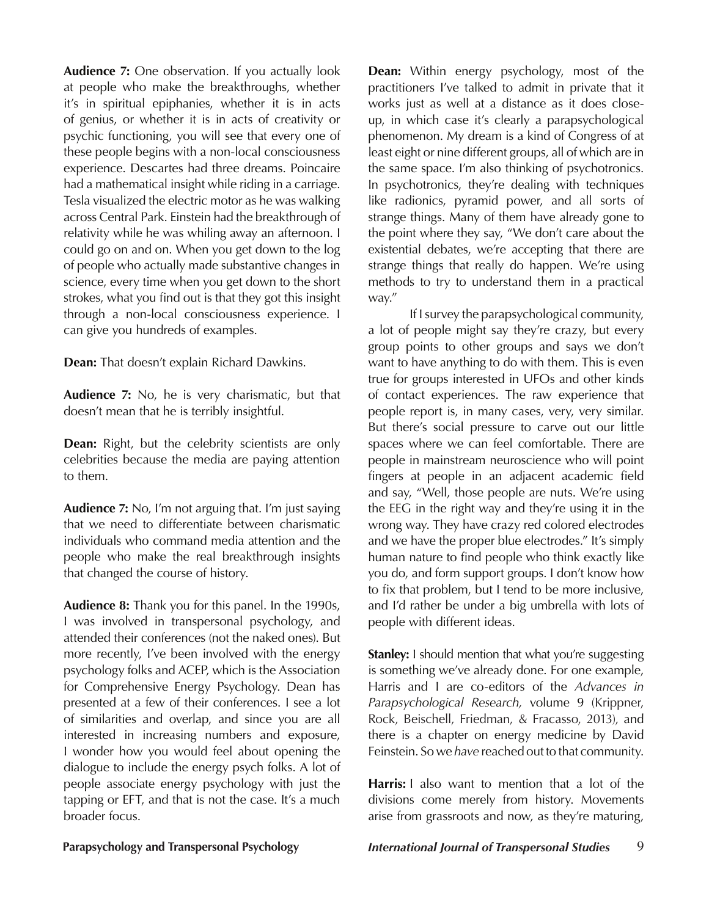**Audience 7:** One observation. If you actually look at people who make the breakthroughs, whether it's in spiritual epiphanies, whether it is in acts of genius, or whether it is in acts of creativity or psychic functioning, you will see that every one of these people begins with a non-local consciousness experience. Descartes had three dreams. Poincaire had a mathematical insight while riding in a carriage. Tesla visualized the electric motor as he was walking across Central Park. Einstein had the breakthrough of relativity while he was whiling away an afternoon. I could go on and on. When you get down to the log of people who actually made substantive changes in science, every time when you get down to the short strokes, what you find out is that they got this insight through a non-local consciousness experience. I can give you hundreds of examples.

**Dean:** That doesn't explain Richard Dawkins.

**Audience 7:** No, he is very charismatic, but that doesn't mean that he is terribly insightful.

**Dean:** Right, but the celebrity scientists are only celebrities because the media are paying attention to them.

**Audience 7:** No, I'm not arguing that. I'm just saying that we need to differentiate between charismatic individuals who command media attention and the people who make the real breakthrough insights that changed the course of history.

**Audience 8:** Thank you for this panel. In the 1990s, I was involved in transpersonal psychology, and attended their conferences (not the naked ones). But more recently, I've been involved with the energy psychology folks and ACEP, which is the Association for Comprehensive Energy Psychology. Dean has presented at a few of their conferences. I see a lot of similarities and overlap, and since you are all interested in increasing numbers and exposure, I wonder how you would feel about opening the dialogue to include the energy psych folks. A lot of people associate energy psychology with just the tapping or EFT, and that is not the case. It's a much broader focus.

**Dean:** Within energy psychology, most of the practitioners I've talked to admit in private that it works just as well at a distance as it does closeup, in which case it's clearly a parapsychological phenomenon. My dream is a kind of Congress of at least eight or nine different groups, all of which are in the same space. I'm also thinking of psychotronics. In psychotronics, they're dealing with techniques like radionics, pyramid power, and all sorts of strange things. Many of them have already gone to the point where they say, "We don't care about the existential debates, we're accepting that there are strange things that really do happen. We're using methods to try to understand them in a practical way."

If I survey the parapsychological community, a lot of people might say they're crazy, but every group points to other groups and says we don't want to have anything to do with them. This is even true for groups interested in UFOs and other kinds of contact experiences. The raw experience that people report is, in many cases, very, very similar. But there's social pressure to carve out our little spaces where we can feel comfortable. There are people in mainstream neuroscience who will point fingers at people in an adjacent academic field and say, "Well, those people are nuts. We're using the EEG in the right way and they're using it in the wrong way. They have crazy red colored electrodes and we have the proper blue electrodes." It's simply human nature to find people who think exactly like you do, and form support groups. I don't know how to fix that problem, but I tend to be more inclusive, and I'd rather be under a big umbrella with lots of people with different ideas.

**Stanley:** I should mention that what you're suggesting is something we've already done. For one example, Harris and I are co-editors of the *Advances in Parapsychological Research,* volume 9 (Krippner, Rock, Beischell, Friedman, & Fracasso, 2013), and there is a chapter on energy medicine by David Feinstein. So we *have* reached out to that community.

**Harris:** I also want to mention that a lot of the divisions come merely from history. Movements arise from grassroots and now, as they're maturing,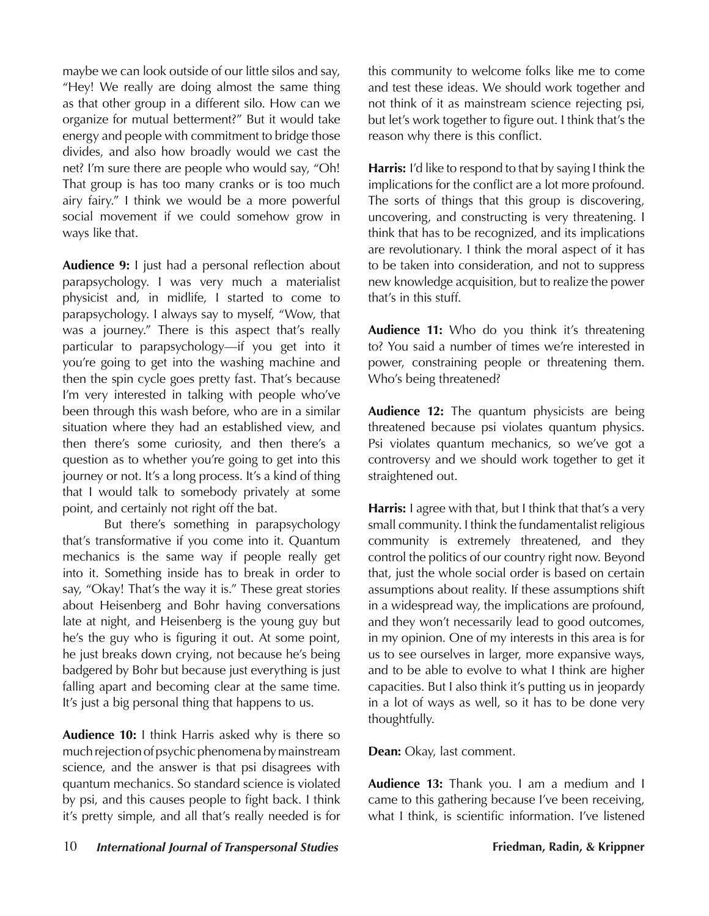maybe we can look outside of our little silos and say, "Hey! We really are doing almost the same thing as that other group in a different silo. How can we organize for mutual betterment?" But it would take energy and people with commitment to bridge those divides, and also how broadly would we cast the net? I'm sure there are people who would say, "Oh! That group is has too many cranks or is too much airy fairy." I think we would be a more powerful social movement if we could somehow grow in ways like that.

**Audience 9:** I just had a personal reflection about parapsychology. I was very much a materialist physicist and, in midlife, I started to come to parapsychology. I always say to myself, "Wow, that was a journey." There is this aspect that's really particular to parapsychology—if you get into it you're going to get into the washing machine and then the spin cycle goes pretty fast. That's because I'm very interested in talking with people who've been through this wash before, who are in a similar situation where they had an established view, and then there's some curiosity, and then there's a question as to whether you're going to get into this journey or not. It's a long process. It's a kind of thing that I would talk to somebody privately at some point, and certainly not right off the bat.

But there's something in parapsychology that's transformative if you come into it. Quantum mechanics is the same way if people really get into it. Something inside has to break in order to say, "Okay! That's the way it is." These great stories about Heisenberg and Bohr having conversations late at night, and Heisenberg is the young guy but he's the guy who is figuring it out. At some point, he just breaks down crying, not because he's being badgered by Bohr but because just everything is just falling apart and becoming clear at the same time. It's just a big personal thing that happens to us.

**Audience 10:** I think Harris asked why is there so much rejection of psychic phenomena by mainstream science, and the answer is that psi disagrees with quantum mechanics. So standard science is violated by psi, and this causes people to fight back. I think it's pretty simple, and all that's really needed is for this community to welcome folks like me to come and test these ideas. We should work together and not think of it as mainstream science rejecting psi, but let's work together to figure out. I think that's the reason why there is this conflict.

**Harris:** I'd like to respond to that by saying I think the implications for the conflict are a lot more profound. The sorts of things that this group is discovering, uncovering, and constructing is very threatening. I think that has to be recognized, and its implications are revolutionary. I think the moral aspect of it has to be taken into consideration, and not to suppress new knowledge acquisition, but to realize the power that's in this stuff.

**Audience 11:** Who do you think it's threatening to? You said a number of times we're interested in power, constraining people or threatening them. Who's being threatened?

**Audience 12:** The quantum physicists are being threatened because psi violates quantum physics. Psi violates quantum mechanics, so we've got a controversy and we should work together to get it straightened out.

Harris: I agree with that, but I think that that's a very small community. I think the fundamentalist religious community is extremely threatened, and they control the politics of our country right now. Beyond that, just the whole social order is based on certain assumptions about reality. If these assumptions shift in a widespread way, the implications are profound, and they won't necessarily lead to good outcomes, in my opinion. One of my interests in this area is for us to see ourselves in larger, more expansive ways, and to be able to evolve to what I think are higher capacities. But I also think it's putting us in jeopardy in a lot of ways as well, so it has to be done very thoughtfully.

**Dean:** Okay, last comment.

**Audience 13:** Thank you. I am a medium and I came to this gathering because I've been receiving, what I think, is scientific information. I've listened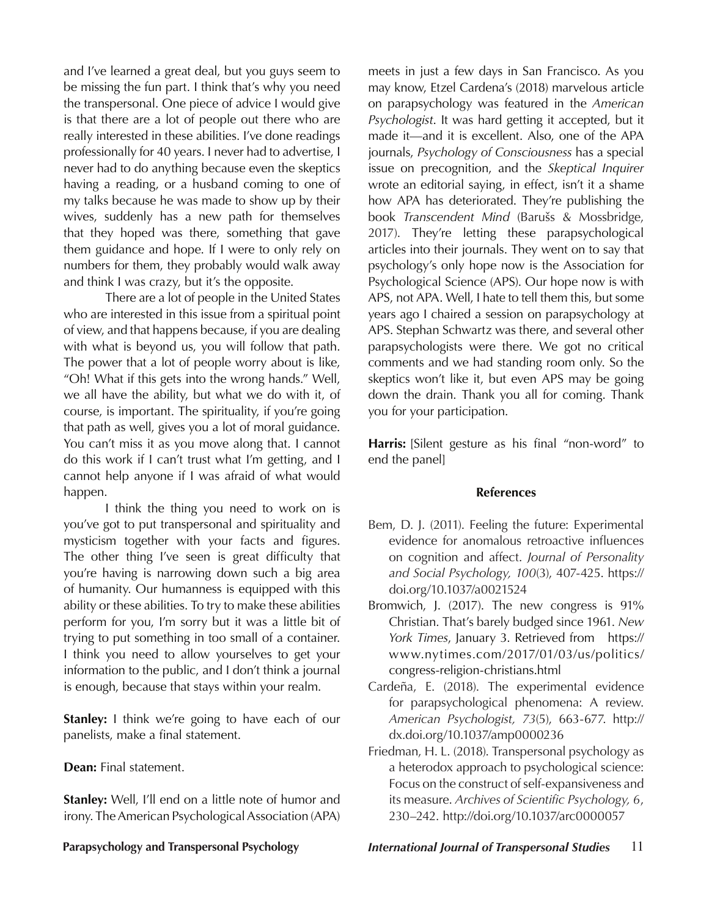and I've learned a great deal, but you guys seem to be missing the fun part. I think that's why you need the transpersonal. One piece of advice I would give is that there are a lot of people out there who are really interested in these abilities. I've done readings professionally for 40 years. I never had to advertise, I never had to do anything because even the skeptics having a reading, or a husband coming to one of my talks because he was made to show up by their wives, suddenly has a new path for themselves that they hoped was there, something that gave them guidance and hope. If I were to only rely on numbers for them, they probably would walk away and think I was crazy, but it's the opposite.

There are a lot of people in the United States who are interested in this issue from a spiritual point of view, and that happens because, if you are dealing with what is beyond us, you will follow that path. The power that a lot of people worry about is like, "Oh! What if this gets into the wrong hands." Well, we all have the ability, but what we do with it, of course, is important. The spirituality, if you're going that path as well, gives you a lot of moral guidance. You can't miss it as you move along that. I cannot do this work if I can't trust what I'm getting, and I cannot help anyone if I was afraid of what would happen.

I think the thing you need to work on is you've got to put transpersonal and spirituality and mysticism together with your facts and figures. The other thing I've seen is great difficulty that you're having is narrowing down such a big area of humanity. Our humanness is equipped with this ability or these abilities. To try to make these abilities perform for you, I'm sorry but it was a little bit of trying to put something in too small of a container. I think you need to allow yourselves to get your information to the public, and I don't think a journal is enough, because that stays within your realm.

**Stanley:** I think we're going to have each of our panelists, make a final statement.

**Dean:** Final statement.

**Stanley:** Well, I'll end on a little note of humor and irony. The American Psychological Association (APA)

meets in just a few days in San Francisco. As you may know, Etzel Cardena's (2018) marvelous article on parapsychology was featured in the *American Psychologist*. It was hard getting it accepted, but it made it—and it is excellent. Also, one of the APA journals, *Psychology of Consciousness* has a special issue on precognition, and the *Skeptical Inquirer* wrote an editorial saying, in effect, isn't it a shame how APA has deteriorated. They're publishing the book *Transcendent Mind* (Barušs & Mossbridge, 2017). They're letting these parapsychological articles into their journals. They went on to say that psychology's only hope now is the Association for Psychological Science (APS). Our hope now is with APS, not APA. Well, I hate to tell them this, but some years ago I chaired a session on parapsychology at APS. Stephan Schwartz was there, and several other parapsychologists were there. We got no critical comments and we had standing room only. So the skeptics won't like it, but even APS may be going down the drain. Thank you all for coming. Thank you for your participation.

**Harris:** [Silent gesture as his final "non-word" to end the panel]

#### **References**

- Bem, D. J. (2011). Feeling the future: Experimental evidence for anomalous retroactive influences on cognition and affect. *Journal of Personality and Social Psychology, 100*(3), 407-425. https:// doi.org/10.1037/a0021524
- Bromwich, J. (2017). The new congress is 91% Christian. That's barely budged since 1961. *New York Times*, January 3. Retrieved from https:// www.nytimes.com/2017/01/03/us/politics/ congress-religion-christians.html
- Cardeña, E. (2018). The experimental evidence for parapsychological phenomena: A review. *American Psychologist, 73*(5), 663-677. http:// dx.doi.org/10.1037/amp0000236
- Friedman, H. L. (2018). Transpersonal psychology as a heterodox approach to psychological science: Focus on the construct of self-expansiveness and its measure. *Archives of Scientific Psychology, 6*, 230–242. http://doi.org/10.1037/arc0000057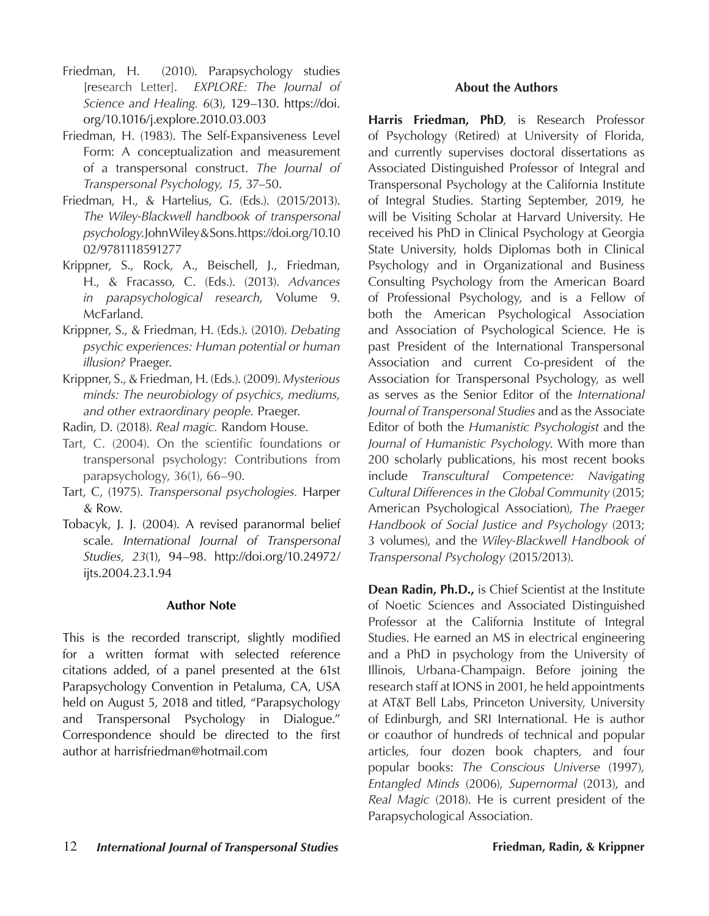- Friedman, H. (2010). Parapsychology studies [research Letter]. *EXPLORE: The Journal of Science and Healing. 6*(3), 129–130. https://doi. org/10.1016/j.explore.2010.03.003
- Friedman, H. (1983). The Self-Expansiveness Level Form: A conceptualization and measurement of a transpersonal construct. *The Journal of Transpersonal Psychology, 15,* 37–50.
- Friedman, H., & Hartelius, G. (Eds.). (2015/2013). *The Wiley-Blackwell handbook of transpersonal psychology*. John Wiley & Sons. https://doi.org/10.10 02/9781118591277
- Krippner, S., Rock, A., Beischell, J., Friedman, H., & Fracasso, C. (Eds.). (2013). *Advances in parapsychological research*, Volume 9. McFarland.
- Krippner, S., & Friedman, H. (Eds.). (2010). *Debating psychic experiences: Human potential or human illusion?* Praeger.
- Krippner, S., & Friedman, H. (Eds.). (2009). *Mysterious minds: The neurobiology of psychics, mediums, and other extraordinary people.* Praeger.
- Radin, D. (2018). *Real magic.* Random House.
- Tart, C. (2004). On the scientific foundations or transpersonal psychology: Contributions from parapsychology, 36(1), 66–90.
- Tart, C, (1975). *Transpersonal psychologies.* Harper & Row.
- Tobacyk, J. J. (2004). A revised paranormal belief scale. *International Journal of Transpersonal Studies, 23*(1), 94–98. http://doi.org/10.24972/ ijts.2004.23.1.94

### **Author Note**

This is the recorded transcript, slightly modified for a written format with selected reference citations added, of a panel presented at the 61st Parapsychology Convention in Petaluma, CA, USA held on August 5, 2018 and titled, "Parapsychology and Transpersonal Psychology in Dialogue." Correspondence should be directed to the first author at harrisfriedman@hotmail.com

### **About the Authors**

Harris Friedman, PhD, is Research Professor of Psychology (Retired) at University of Florida, and currently supervises doctoral dissertations as Associated Distinguished Professor of Integral and Transpersonal Psychology at the California Institute of Integral Studies. Starting September, 2019, he will be Visiting Scholar at Harvard University. He received his PhD in Clinical Psychology at Georgia State University, holds Diplomas both in Clinical Psychology and in Organizational and Business Consulting Psychology from the American Board of Professional Psychology, and is a Fellow of both the American Psychological Association and Association of Psychological Science. He is past President of the International Transpersonal Association and current Co-president of the Association for Transpersonal Psychology, as well as serves as the Senior Editor of the *International Journal of Transpersonal Studies* and as the Associate Editor of both the *Humanistic Psychologist* and the *Journal of Humanistic Psychology*. With more than 200 scholarly publications, his most recent books include *Transcultural Competence: Navigating Cultural Differences in the Global Community* (2015; American Psychological Association), *The Praeger Handbook of Social Justice and Psychology* (2013; 3 volumes), and the *Wiley-Blackwell Handbook of Transpersonal Psychology* (2015/2013).

**Dean Radin, Ph.D.,** is Chief Scientist at the Institute of Noetic Sciences and Associated Distinguished Professor at the California Institute of Integral Studies. He earned an MS in electrical engineering and a PhD in psychology from the University of Illinois, Urbana-Champaign. Before joining the research staff at IONS in 2001, he held appointments at AT&T Bell Labs, Princeton University, University of Edinburgh, and SRI International. He is author or coauthor of hundreds of technical and popular articles, four dozen book chapters, and four popular books: *The Conscious Universe* (1997)*, Entangled Minds* (2006), *Supernormal* (2013), and *Real Magic* (2018). He is current president of the Parapsychological Association.